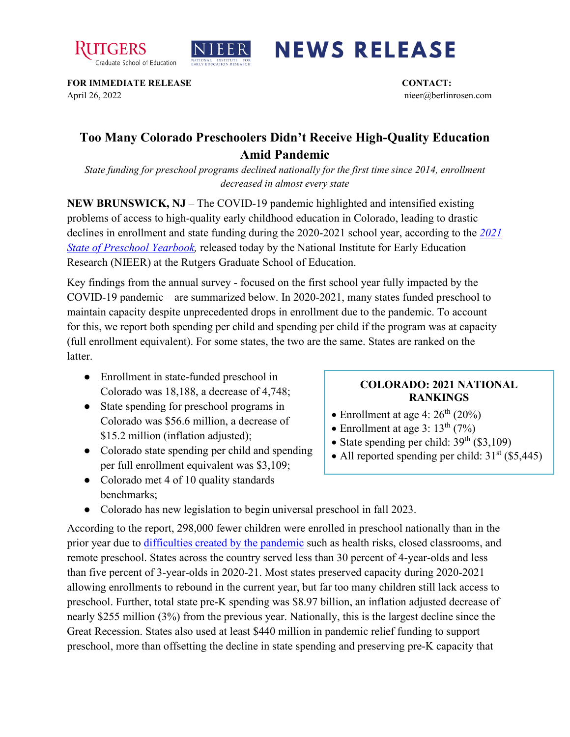



## **NEWS RELEASE**

**FOR IMMEDIATE RELEASE CONTACT:**  April 26, 2022 nieer@berlinrosen.com

## **Too Many Colorado Preschoolers Didn't Receive High-Quality Education Amid Pandemic**

*State funding for preschool programs declined nationally for the first time since 2014, enrollment decreased in almost every state*

**NEW BRUNSWICK, NJ** – The COVID-19 pandemic highlighted and intensified existing problems of access to high-quality early childhood education in Colorado, leading to drastic declines in enrollment and state funding during the 2020-2021 school year, according to the *[2021](https://nieer.org/state-preschool-yearbooks-yearbook2021)  [State of Preschool Yearbook,](https://nieer.org/state-preschool-yearbooks-yearbook2021)* released today by the National Institute for Early Education Research (NIEER) at the Rutgers Graduate School of Education.

Key findings from the annual survey - focused on the first school year fully impacted by the COVID-19 pandemic – are summarized below. In 2020-2021, many states funded preschool to maintain capacity despite unprecedented drops in enrollment due to the pandemic. To account for this, we report both spending per child and spending per child if the program was at capacity (full enrollment equivalent). For some states, the two are the same. States are ranked on the latter.

- Enrollment in state-funded preschool in Colorado was 18,188, a decrease of 4,748;
- State spending for preschool programs in Colorado was \$56.6 million, a decrease of \$15.2 million (inflation adjusted);
- Colorado state spending per child and spending per full enrollment equivalent was \$3,109;
- Colorado met 4 of 10 quality standards benchmarks;

## **COLORADO: 2021 NATIONAL RANKINGS**

- Enrollment at age 4:  $26<sup>th</sup>$  (20%)
- Enrollment at age 3:  $13^{\text{th}}$  (7%)
- State spending per child:  $39<sup>th</sup>$  (\$3,109)
- All reported spending per child:  $31<sup>st</sup>$  (\$5,445)
- Colorado has new legislation to begin universal preschool in fall 2023.

According to the report, 298,000 fewer children were enrolled in preschool nationally than in the prior year due to [difficulties created by the pandemic](https://nieer.org/wp-content/uploads/2021/02/NIEER_Seven_Impacts_of_the_Pandemic_on_Young_Children_and_their_Parents.pdf) such as health risks, closed classrooms, and remote preschool. States across the country served less than 30 percent of 4-year-olds and less than five percent of 3-year-olds in 2020-21. Most states preserved capacity during 2020-2021 allowing enrollments to rebound in the current year, but far too many children still lack access to preschool. Further, total state pre-K spending was \$8.97 billion, an inflation adjusted decrease of nearly \$255 million (3%) from the previous year. Nationally, this is the largest decline since the Great Recession. States also used at least \$440 million in pandemic relief funding to support preschool, more than offsetting the decline in state spending and preserving pre-K capacity that